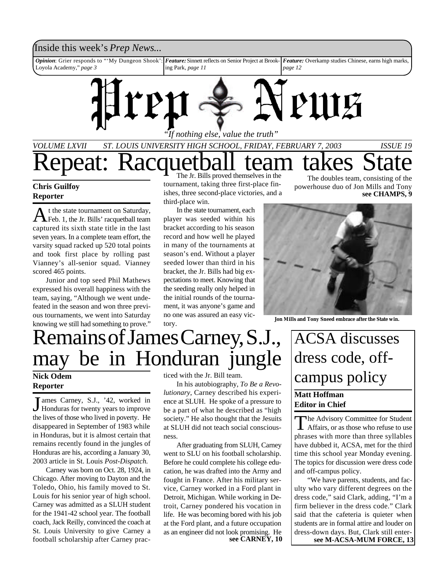

## **Reporter**

A t the state tournament on Saturday, Feb. 1, the Jr. Bills' racquetball team captured its sixth state title in the last seven years. In a complete team effort, the varsity squad racked up 520 total points and took first place by rolling past Vianney's all-senior squad. Vianney scored 465 points.

Junior and top seed Phil Mathews expressed his overall happiness with the team, saying, "Although we went undefeated in the season and won three previous tournaments, we went into Saturday knowing we still had something to prove."

ishes, three second-place victories, and a third-place win.

In the state tournament, each player was seeded within his bracket according to his season record and how well he played in many of the tournaments at season's end. Without a player seeded lower than third in his bracket, the Jr. Bills had big expectations to meet. Knowing that the seeding really only helped in the initial rounds of the tournament, it was anyone's game and no one was assured an easy victory.

**see CHAMPS, 9**



**Jon Mills and Tony Sneed embrace after the State win.**

# Remains of James Carney, S.J. may be in Honduran jungle

# **Reporter**

J ames Carney, S.J., '42, worked in<br>Honduras for twenty years to improve ames Carney, S.J., '42, worked in the lives of those who lived in poverty. He disappeared in September of 1983 while in Honduras, but it is almost certain that remains recently found in the jungles of Honduras are his, according a January 30, 2003 article in St. Louis *Post-Dispatch*.

Carney was born on Oct. 28, 1924, in Chicago. After moving to Dayton and the Toledo, Ohio, his family moved to St. Louis for his senior year of high school. Carney was admitted as a SLUH student for the 1941-42 school year. The football coach, Jack Reilly, convinced the coach at St. Louis University to give Carney a football scholarship after Carney practiced with the Jr. Bill team.

In his autobiography, *To Be a Revolutionary*, Carney described his experience at SLUH. He spoke of a pressure to be a part of what he described as "high society." He also thought that the Jesuits at SLUH did not teach social consciousness.

After graduating from SLUH, Carney went to SLU on his football scholarship. Before he could complete his college education, he was drafted into the Army and fought in France. After his military service, Carney worked in a Ford plant in Detroit, Michigan. While working in Detroit, Carney pondered his vocation in life. He was becoming bored with his job at the Ford plant, and a future occupation as an engineer did not look promising. He<br>see CARNEY, 10

# ACSA discusses dress code, off-Nick Odem ticed with the Jr. Bill team.<br>
In his enterior and *Li* Best Bays **Campus policy**

## **Matt Hoffman Editor in Chief**

The Advisory Committee for Student<br>Affairs, or as those who refuse to use he Advisory Committee for Student phrases with more than three syllables have dubbed it, ACSA, met for the third time this school year Monday evening. The topics for discussion were dress code and off-campus policy.

"We have parents, students, and faculty who vary different degrees on the dress code," said Clark, adding, "I'm a firm believer in the dress code." Clark said that the cafeteria is quieter when students are in formal attire and louder on dress-down days. But, Clark still entersee M-ACSA-MUM FORCE, 13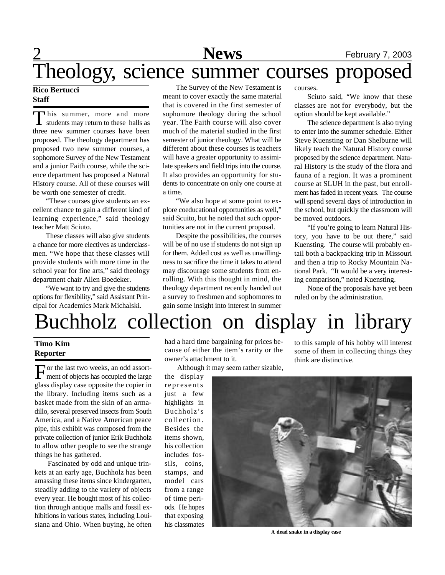# Theology, science summer courses proposed

## **Rico Bertucci Staff**

This summer, more and more students may return to these halls as three new summer courses have been proposed. The theology department has proposed two new summer courses, a sophomore Survey of the New Testament and a junior Faith course, while the science department has proposed a Natural History course. All of these courses will be worth one semester of credit.

"These courses give students an excellent chance to gain a different kind of learning experience," said theology teacher Matt Sciuto.

These classes will also give students a chance for more electives as underclassmen. "We hope that these classes will provide students with more time in the school year for fine arts," said theology department chair Allen Boedeker.

"We want to try and give the students options for flexibility," said Assistant Principal for Academics Mark Michalski.

The Survey of the New Testament is meant to cover exactly the same material that is covered in the first semester of sophomore theology during the school year. The Faith course will also cover much of the material studied in the first semester of junior theology. What will be different about these courses is teachers will have a greater opportunity to assimilate speakers and field trips into the course. It also provides an opportunity for students to concentrate on only one course at a time.

"We also hope at some point to explore coeducational opportunities as well," said Scuito, but he noted that such opportunities are not in the current proposal.

Despite the possibilities, the courses will be of no use if students do not sign up for them. Added cost as well as unwillingness to sacrifice the time it takes to attend may discourage some students from enrolling. With this thought in mind, the theology department recently handed out a survey to freshmen and sophomores to gain some insight into interest in summer

courses.

Sciuto said, "We know that these classes are not for everybody, but the option should be kept available."

The science department is also trying to enter into the summer schedule. Either Steve Kuensting or Dan Shelburne will likely teach the Natural History course proposed by the science department. Natural History is the study of the flora and fauna of a region. It was a prominent course at SLUH in the past, but enrollment has faded in recent years. The course will spend several days of introduction in the school, but quickly the classroom will be moved outdoors.

"If you're going to learn Natural History, you have to be out there," said Kuensting. The course will probably entail both a backpacking trip in Missouri and then a trip to Rocky Mountain National Park. "It would be a very interesting comparison," noted Kuensting.

None of the proposals have yet been ruled on by the administration.

# Buchholz collection on display in library

## **Timo Kim Reporter**

For the last two weeks, an odd assort-<br>ment of objects has occupied the large Tor the last two weeks, an odd assortglass display case opposite the copier in the library. Including items such as a basket made from the skin of an armadillo, several preserved insects from South America, and a Native American peace pipe, this exhibit was composed from the private collection of junior Erik Buchholz to allow other people to see the strange things he has gathered.

 Fascinated by odd and unique trinkets at an early age, Buchholz has been amassing these items since kindergarten, steadily adding to the variety of objects every year. He bought most of his collection through antique malls and fossil exhibitions in various states, including Louisiana and Ohio. When buying, he often had a hard time bargaining for prices because of either the item's rarity or the owner's attachment to it.

Although it may seem rather sizable,

the display represents just a few highlights in Buchholz's collection. Besides the items shown, his collection includes fossils, coins, stamps, and model cars from a range of time periods. He hopes that exposing his classmates

to this sample of his hobby will interest some of them in collecting things they think are distinctive.



**A dead snake in a display case**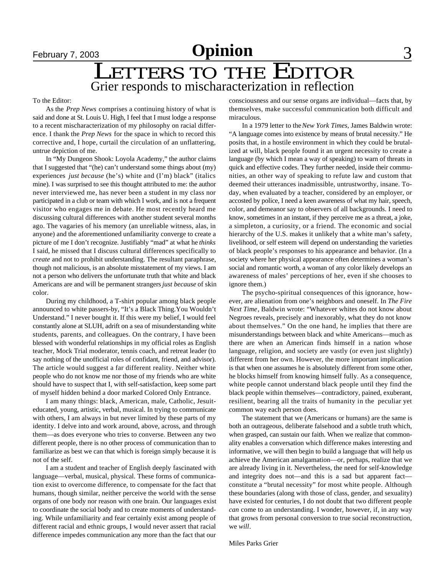# **February 7, 2003 Opinion**

# LETTERS TO THE EDITOR Grier responds to mischaracterization in reflection

### To the Editor:

As the *Prep News* comprises a continuing history of what is said and done at St. Louis U. High, I feel that I must lodge a response to a recent mischaracterization of my philosophy on racial difference. I thank the *Prep News* for the space in which to record this corrective and, I hope, curtail the circulation of an unflattering, untrue depiction of me.

In "My Dungeon Shook: Loyola Academy," the author claims that I suggested that "(he) can't understand some things about (my) experiences *just because* (he's) white and (I'm) black" (italics mine). I was surprised to see this thought attributed to me: the author never interviewed me, has never been a student in my class nor participated in a club or team with which I work, and is not a frequent visitor who engages me in debate. He most recently heard me discussing cultural differences with another student several months ago. The vagaries of his memory (an unreliable witness, alas, in anyone) and the aforementioned unfamiliarity converge to create a picture of me I don't recognize. Justifiably "mad" at what he *thinks* I said, he missed that I discuss cultural differences specifically to *create* and not to prohibit understanding. The resultant paraphrase, though not malicious, is an absolute misstatement of my views. I am not a person who delivers the unfortunate truth that white and black Americans are and will be permanent strangers *just because* of skin color.

During my childhood, a T-shirt popular among black people announced to white passers-by, "It's a Black Thing.You Wouldn't Understand." I never bought it. If this were my belief, I would feel constantly alone at SLUH, adrift on a sea of misunderstanding white students, parents, and colleagues. On the contrary, I have been blessed with wonderful relationships in my official roles as English teacher, Mock Trial moderator, tennis coach, and retreat leader (to say nothing of the unofficial roles of confidant, friend, and advisor). The article would suggest a far different reality. Neither white people who do not know me nor those of my friends who are white should have to suspect that I, with self-satisfaction, keep some part of myself hidden behind a door marked Colored Only Entrance.

I am many things: black, American, male, Catholic, Jesuiteducated, young, artistic, verbal, musical. In trying to communicate with others, I am always in but never limited by these parts of my identity. I delve into and work around, above, across, and through them—as does everyone who tries to converse. Between any two different people, there is no other process of communication than to familiarize as best we can that which is foreign simply because it is not of the self.

I am a student and teacher of English deeply fascinated with language—verbal, musical, physical. These forms of communication exist to overcome difference, to compensate for the fact that humans, though similar, neither perceive the world with the sense organs of one body nor reason with one brain. Our languages exist to coordinate the social body and to create moments of understanding. While unfamiliarity and fear certainly exist among people of different racial and ethnic groups, I would never assert that racial difference impedes communication any more than the fact that our

consciousness and our sense organs are individual—facts that, by themselves, make successful communication both difficult and miraculous.

In a 1979 letter to the *New York Times*, James Baldwin wrote: "A language comes into existence by means of brutal necessity." He posits that, in a hostile environment in which they could be brutalized at will, black people found it an urgent necessity to create a language (by which I mean a way of speaking) to warn of threats in quick and effective codes. They further needed, inside their communities, an other way of speaking to refute law and custom that deemed their utterances inadmissible, untrustworthy, insane. Today, when evaluated by a teacher, considered by an employer, or accosted by police, I need a keen awareness of what my hair, speech, color, and demeanor say to observers of all backgrounds. I need to know, sometimes in an instant, if they perceive me as a threat, a joke, a simpleton, a curiosity, or a friend. The economic and social hierarchy of the U.S. makes it unlikely that a white man's safety, livelihood, or self esteem will depend on understanding the varieties of black people's responses to his appearance and behavior. (In a society where her physical appearance often determines a woman's social and romantic worth, a woman of any color likely develops an awareness of males' perceptions of her, even if she chooses to ignore them.)

The psycho-spiritual consequences of this ignorance, however, are alienation from one's neighbors and oneself. In *The Fire Next Time*, Baldwin wrote: "Whatever whites do not know about Negroes reveals, precisely and inexorably, what they do not know about themselves." On the one hand, he implies that there are misunderstandings between black and white Americans—much as there are when an American finds himself in a nation whose language, religion, and society are vastly (or even just slightly) different from her own. However, the more important implication is that when one assumes he is absolutely different from some other, he blocks himself from knowing himself fully. As a consequence, white people cannot understand black people until they find the black people within themselves—contradictory, pained, exuberant, resilient, bearing all the traits of humanity in the peculiar yet common way each person does.

The statement that we (Americans or humans) are the same is both an outrageous, deliberate falsehood and a subtle truth which, when grasped, can sustain our faith. When we realize that commonality enables a conversation which difference makes interesting and informative, we will then begin to build a language that will help us achieve the American amalgamation—or, perhaps, realize that we are already living in it. Nevertheless, the need for self-knowledge and integrity does not—and this is a sad but apparent fact constitute a "brutal necessity" for most white people. Although these boundaries (along with those of class, gender, and sexuality) have existed for centuries, I do not doubt that two different people *can* come to an understanding. I wonder, however, if, in any way that grows from personal conversion to true social reconstruction, we *will*.

Miles Parks Grier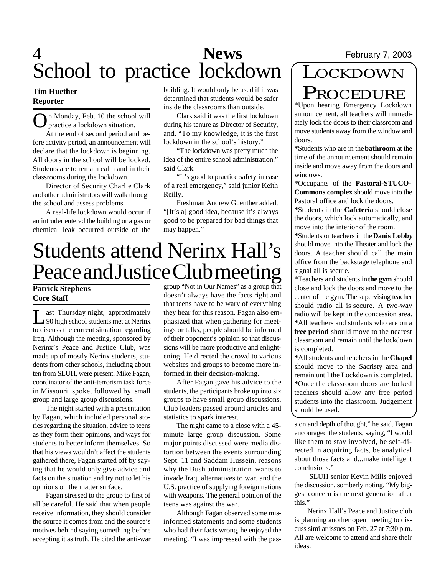# 4 **News** February 7, 2003 School to practice lockdown

## **Tim Huether Reporter**

On Monday, Feb. 10 the school practice a lockdown situation. n Monday, Feb. 10 the school will

At the end of second period and before activity period, an announcement will declare that the lockdown is beginning. All doors in the school will be locked. Students are to remain calm and in their classrooms during the lockdown.

Director of Security Charlie Clark and other administrators will walk through the school and assess problems.

A real-life lockdown would occur if an intruder entered the building or a gas or chemical leak occurred outside of the building. It would only be used if it was determined that students would be safer inside the classrooms than outside.

Clark said it was the first lockdown during his tenure as Director of Security, and, "To my knowledge, it is the first lockdown in the school's history."

"The lockdown was pretty much the idea of the entire school administration." said Clark.

"It's good to practice safety in case of a real emergency," said junior Keith Reilly.

Freshman Andrew Guenther added, "[It's a] good idea, because it's always good to be prepared for bad things that may happen."

# Students attend Nerinx Hall's Peace and Justice Club meeting

## **Patrick Stephens Core Staff**

L ast Thursday night, approximately<br>
90 high school students met at Nerinx ast Thursday night, approximately to discuss the current situation regarding Iraq. Although the meeting, sponsored by Nerinx's Peace and Justice Club, was made up of mostly Nerinx students, students from other schools, including about ten from SLUH, were present. Mike Fagan, coordinator of the anti-terrorism task force in Missouri, spoke, followed by small group and large group discussions.

The night started with a presentation by Fagan, which included personal stories regarding the situation, advice to teens as they form their opinions, and ways for students to better inform themselves. So that his views wouldn't affect the students gathered there, Fagan started off by saying that he would only give advice and facts on the situation and try not to let his opinions on the matter surface.

Fagan stressed to the group to first of all be careful. He said that when people receive information, they should consider the source it comes from and the source's motives behind saying something before accepting it as truth. He cited the anti-war group "Not in Our Names" as a group that doesn't always have the facts right and that teens have to be wary of everything they hear for this reason. Fagan also emphasized that when gathering for meetings or talks, people should be informed of their opponent's opinion so that discussions will be more productive and enlightening. He directed the crowd to various websites and groups to become more informed in their decision-making.

After Fagan gave his advice to the students, the participants broke up into six groups to have small group discussions. Club leaders passed around articles and statistics to spark interest.

The night came to a close with a 45 minute large group discussion. Some major points discussed were media distortion between the events surrounding Sept. 11 and Saddam Hussein, reasons why the Bush administration wants to invade Iraq, alternatives to war, and the U.S. practice of supplying foreign nations with weapons. The general opinion of the teens was against the war.

Although Fagan observed some misinformed statements and some students who had their facts wrong, he enjoyed the meeting. "I was impressed with the pas-

# **LOCKDOWN** PROCEDURE

**\***Upon hearing Emergency Lockdown announcement, all teachers will immediately lock the doors to their classroom and move students away from the window and doors.

**\***Students who are in the **bathroom** at the time of the announcement should remain inside and move away from the doors and windows.

**\***Occupants of the **Pastoral-STUCO-Commons complex** should move into the Pastoral office and lock the doors.

**\***Students in the **Cafeteria** should close the doors, which lock automatically, and move into the interior of the room.

**\***Students or teachers in the **Danis Lobby** should move into the Theater and lock the doors. A teacher should call the main office from the backstage telephone and signal all is secure.

**\***Teachers and students in **the gym** should close and lock the doors and move to the center of the gym. The supervising teacher should radio all is secure. A two-way radio will be kept in the concession area. **\***All teachers and students who are on a **free period** should move to the nearest classroom and remain until the lockdown is completed.

**\***All students and teachers in the **Chapel** should move to the Sacristy area and remain until the Lockdown is completed. **\***Once the classroom doors are locked teachers should allow any free period students into the classroom. Judgement should be used.

sion and depth of thought," he said. Fagan encouraged the students, saying, "I would like them to stay involved, be self-directed in acquiring facts, be analytical about those facts and...make intelligent conclusions."

 SLUH senior Kevin Mills enjoyed the discussion, somberly noting, "My biggest concern is the next generation after this."

Nerinx Hall's Peace and Justice club is planning another open meeting to discuss similar issues on Feb. 27 at 7:30 p.m. All are welcome to attend and share their ideas.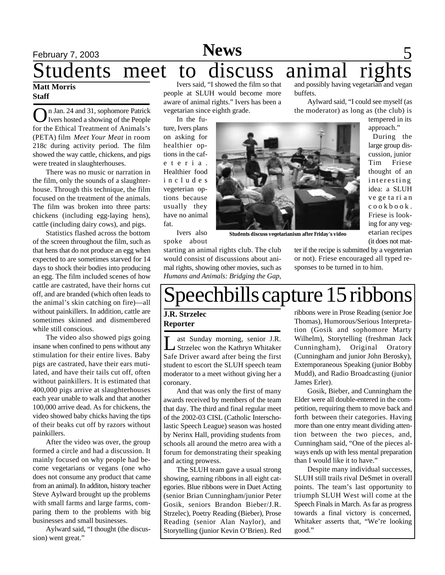## February 7, 2003 **News** 5 **Matt Morris Staff** Ivers said, "I showed the film so that and possibly having vegetarian and vegan Students meet to discuss animal rights

On Jan. 24 and 31, sophomore Patrick<br>Ivers hosted a showing of the People Ivers hosted a showing of the People for the Ethical Treatment of Animals's (PETA) film *Meet Your Meat* in room 218c during activity period. The film showed the way cattle, chickens, and pigs were treated in slaughterhouses.

There was no music or narration in the film, only the sounds of a slaughterhouse. Through this technique, the film focused on the treatment of the animals. The film was broken into three parts: chickens (including egg-laying hens), cattle (including dairy cows), and pigs.

Statistics flashed across the bottom of the screen throughout the film, such as that hens that do not produce an egg when expected to are sometimes starved for 14 days to shock their bodies into producing an egg. The film included scenes of how cattle are castrated, have their horns cut off, and are branded (which often leads to the animal's skin catching on fire)—all without painkillers. In addition, cattle are sometimes skinned and dismembered while still conscious.

The video also showed pigs going insane when confined to pens without any stimulation for their entire lives. Baby pigs are castrated, have their ears mutilated, and have their tails cut off, often without painkillers. It is estimated that 400,000 pigs arrive at slaughterhouses each year unable to walk and that another 100,000 arrive dead. As for chickens, the video showed baby chicks having the tips of their beaks cut off by razors without painkillers.

After the video was over, the group formed a circle and had a discussion. It mainly focused on why people had become vegetarians or vegans (one who does not consume any product that came from an animal). In additon, history teacher Steve Aylward brought up the problems with small farms and large farms, comparing them to the problems with big businesses and small businesses.

Aylward said, "I thought (the discussion) went great."

people at SLUH would become more aware of animal rights." Ivers has been a vegetarian since eighth grade.

In the future, Ivers plans on asking for healthier options in the cafe t e r i a . Healthier food i n c l u d e s vegeterian options because usually they have no animal fat.

Ivers also spoke about

starting an animal rights club. The club would consist of discussions about animal rights, showing other movies, such as *Humans and Animals: Bridging the Gap*,

buffets.

Aylward said, "I could see myself (as the moderator) as long as (the club) is

tempered in its approach."

During the large group discussion, junior Tim Friese thought of an interesting idea: a SLUH ve ge ta ri a n c o o k b o o k . Friese is looking for any veg-

etarian recipes (it does not matter if the recipe is submitted by a vegeterian or not). Friese encouraged all typed re-**Students discuss vegetarianism after Friday's video**

sponses to be turned in to him.

# Speechbills capture 15 ribbons

## **J.R. Strzelec Reporter**

Let Sunday morning, senior J.R.<br>Strzelec won the Kathryn Whitaker ast Sunday morning, senior J.R. Safe Driver award after being the first student to escort the SLUH speech team moderator to a meet without giving her a coronary.

And that was only the first of many awards received by members of the team that day. The third and final regular meet of the 2002-03 CISL (Catholic Interscholastic Speech League) season was hosted by Nerinx Hall, providing students from schools all around the metro area with a forum for demonstrating their speaking and acting prowess.

The SLUH team gave a usual strong showing, earning ribbons in all eight categories. Blue ribbons were in Duet Acting (senior Brian Cunningham/junior Peter Gosik, seniors Brandon Bieber/J.R. Strzelec), Poetry Reading (Bieber), Prose Reading (senior Alan Naylor), and Storytelling (junior Kevin O'Brien). Red

ribbons were in Prose Reading (senior Joe Thomas), Humorous/Serious Interpretation (Gosik and sophomore Marty Wilhelm), Storytelling (freshman Jack Cunningham), Original Oratory (Cunningham and junior John Berosky), Extemporaneous Speaking (junior Bobby Mudd), and Radio Broadcasting (junior James Erler).

Gosik, Bieber, and Cunningham the Elder were all double-entered in the competition, requiring them to move back and forth between their categories. Having more than one entry meant dividing attention between the two pieces, and, Cunningham said, "One of the pieces always ends up with less mental preparation than I would like it to have."

Despite many individual successes, SLUH still trails rival DeSmet in overall points. The team's last opportunity to triumph SLUH West will come at the Speech Finals in March. As far as progress towards a final victory is concerned, Whitaker asserts that, "We're looking good."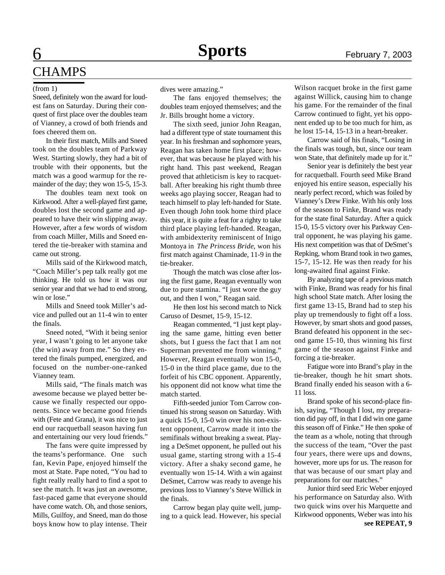# **6 Sports** February 7, 2003 **CHAMPS**

Sneed, definitely won the award for loudest fans on Saturday. During their conquest of first place over the doubles team of Vianney, a crowd of both friends and foes cheered them on.

In their first match, Mills and Sneed took on the doubles team of Parkway West. Starting slowly, they had a bit of trouble with their opponents, but the match was a good warmup for the remainder of the day; they won 15-5, 15-3.

The doubles team next took on Kirkwood. After a well-played first game, doubles lost the second game and appeared to have their win slipping away. However, after a few words of wisdom from coach Miller, Mills and Sneed entered the tie-breaker with stamina and came out strong.

Mills said of the Kirkwood match, "Coach Miller's pep talk really got me thinking. He told us how it was our senior year and that we had to end strong, win or lose."

Mills and Sneed took Miller's advice and pulled out an 11-4 win to enter the finals.

Sneed noted, "With it being senior year, I wasn't going to let anyone take (the win) away from me." So they entered the finals pumped, energized, and focused on the number-one-ranked Vianney team.

Mills said, "The finals match was awesome because we played better because we finally respected our opponents. Since we became good friends with (Fete and Grana), it was nice to just end our racquetball season having fun and entertaining our very loud friends."

The fans were quite impressed by the teams's performance. One such fan, Kevin Pape, enjoyed himself the most at State. Pape noted, "You had to fight really really hard to find a spot to see the match. It was just an awesome, fast-paced game that everyone should have come watch. Oh, and those seniors, Mills, Guilfoy, and Sneed, man do those boys know how to play intense. Their

(from 1) dives were amazing."

The fans enjoyed themselves; the doubles team enjoyed themselves; and the Jr. Bills brought home a victory.

The sixth seed, junior John Reagan, had a different type of state tournament this year. In his freshman and sophomore years, Reagan has taken home first place; however, that was because he played with his right hand. This past weekend, Reagan proved that athleticism is key to racquetball. After breaking his right thumb three weeks ago playing soccer, Reagan had to teach himself to play left-handed for State. Even though John took home third place this year, it is quite a feat for a righty to take third place playing left-handed. Reagan, with ambidexterity reminiscent of Inigo Montoya in *The Princess Bride*, won his first match against Chaminade, 11-9 in the tie-breaker.

Though the match was close after losing the first game, Reagan eventually won due to pure stamina. "I just wore the guy out, and then I won," Reagan said.

He then lost his second match to Nick Caruso of Desmet, 15-9, 15-12.

Reagan commented, "I just kept playing the same game, hitting even better shots, but I guess the fact that I am not Superman prevented me from winning." However, Reagan eventually won 15-0, 15-0 in the third place game, due to the forfeit of his CBC opponent. Apparently, his opponent did not know what time the match started.

Fifth-seeded junior Tom Carrow continued his strong season on Saturday. With a quick 15-0, 15-0 win over his non-existent opponent, Carrow made it into the semifinals without breaking a sweat. Playing a DeSmet opponent, he pulled out his usual game, starting strong with a 15-4 victory. After a shaky second game, he eventually won 15-14. With a win against DeSmet, Carrow was ready to avenge his previous loss to Vianney's Steve Willick in the finals.

Carrow began play quite well, jumping to a quick lead. However, his special

Wilson racquet broke in the first game against Willick, causing him to change his game. For the remainder of the final Carrow continued to fight, yet his opponent ended up to be too much for him, as he lost 15-14, 15-13 in a heart-breaker.

Carrow said of his finals, "Losing in the finals was tough, but, since our team won State, that definitely made up for it."

Senior year is definitely the best year for racquetball. Fourth seed Mike Brand enjoyed his entire season, especially his nearly perfect record, which was foiled by Vianney's Drew Finke. With his only loss of the season to Finke, Brand was ready for the state final Saturday. After a quick 15-0, 15-5 victory over his Parkway Central opponent, he was playing his game. His next competition was that of DeSmet's Repking, whom Brand took in two games, 15-7, 15-12. He was then ready for his long-awaited final against Finke.

By analyzing tape of a previous match with Finke, Brand was ready for his final high school State match. After losing the first game 13-15, Brand had to step his play up tremendously to fight off a loss. However, by smart shots and good passes, Brand defeated his opponent in the second game 15-10, thus winning his first game of the season against Finke and forcing a tie-breaker.

Fatigue wore into Brand's play in the tie-breaker, though he hit smart shots. Brand finally ended his season with a 6- 11 loss.

Brand spoke of his second-place finish, saying, "Though I lost, my preparation did pay off, in that I did win one game this season off of Finke." He then spoke of the team as a whole, noting that through the success of the team, "Over the past four years, there were ups and downs, however, more ups for us. The reason for that was because of our smart play and preparations for our matches."

Junior third seed Eric Weber enjoyed his performance on Saturday also. With two quick wins over his Marquette and Kirkwood opponents, Weber was into his **see REPEAT, 9**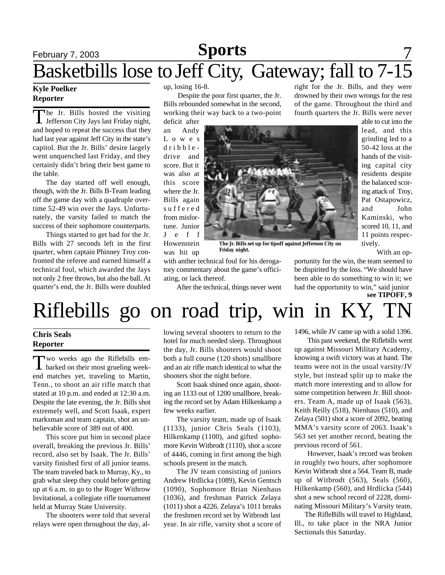# February 7, 2003 **News** 5ports 7 Basketbills lose to Jeff City, Gateway; fall to 7-15 **Sports**

### **Kyle Poelker Reporter**

The Jr. Bills hosted the visiting<br>Jefferson City Jays last Friday night, The Jr. Bills hosted the visiting and hoped to repeat the success that they had last year against Jeff City in the state's capitol. But the Jr. Bills' desire largely went unquenched last Friday, and they certainly didn't bring their best game to the table.

The day started off well enough, though, with the Jr. Bills B-Team leading off the game day with a quadruple overtime 52-49 win over the Jays. Unfortunately, the varsity failed to match the success of their sophomore counterparts.

Things started to get bad for the Jr. Bills with 27 seconds left in the first quarter, when captain Phinney Troy confronted the referee and earned himself a technical foul, which awarded the Jays not only 2 free throws, but also the ball. At quarter's end, the Jr. Bills were doubled

up, losing 16-8.

 Despite the poor first quarter, the Jr. Bills rebounded somewhat in the second, working their way back to a two-point

deficit after an Andy L o w e s d r i b b l e drive and score. But it was also at this score where the Jr. Bills again s u f f e r e d from misfortune. Junior J e f f Howenstein was hit up



**The Jr. Bills set up for tipoff against Jefferson City on Friday night.**

with anther technical foul for his derogatory commentary about the game's officiating, or lack thereof.

After the technical, things never went

right for the Jr. Bills, and they were drowned by their own wrongs for the rest of the game. Throughout the third and fourth quarters the Jr. Bills were never

> able to cut into the lead, and this grinding led to a 50-42 loss at the hands of the visiting capital city residents despite the balanced scoring attack of Troy, Pat Ostapowicz, and John Kaminski, who scored 10, 11, and 11 points respectively.

With an op-

**see TIPOFF, 9** portunity for the win, the team seemed to be dispirited by the loss. "We should have been able to do something to win it; we had the opportunity to win," said junior

# Riflebills go on road trip, win in KY,

## **Chris Seals Reporter**

Two weeks ago the Riflebills em-<br>barked on their most grueling weekwo weeks ago the Riflebills emend matches yet, traveling to Martin, Tenn., to shoot an air rifle match that stated at 10 p.m. and ended at 12:30 a.m. Despite the late evening, the Jr. Bills shot extremely well, and Scott Isaak, expert marksman and team captain, shot an unbelievable score of 389 out of 400.

This score put him in second place overall, breaking the previous Jr. Bills' record, also set by Isaak. The Jr. Bills' varsity finished first of all junior teams. The team traveled back to Murray, Ky., to grab what sleep they could before getting up at 6 a.m. to go to the Roger Withrow Invitational, a collegiate rifle tournament held at Murray State University.

The shooters were told that several relays were open throughout the day, allowing several shooters to return to the hotel for much needed sleep. Throughout the day, Jr. Bills shooters would shoot both a full course (120 shots) smallbore and an air rifle match identical to what the shooters shot the night before.

Scott Isaak shined once again, shooting an 1133 out of 1200 smallbore, breaking the record set by Adam Hilkenkamp a few weeks earlier.

The varsity team, made up of Isaak (1133), junior Chris Seals (1103), Hilkenkamp (1100), and gifted sophomore Kevin Witbrodt (1110), shot a score of 4446, coming in first among the high schools present in the match.

The JV team consisting of juniors Andrew Hrdlicka (1089), Kevin Gentsch (1090), Sophomore Brian Nienhaus (1036), and freshman Patrick Zelaya (1011) shot a 4226. Zelaya's 1011 breaks the freshmen record set by Witbrodt last year. In air rifle, varsity shot a score of 1496, while JV came up with a solid 1396.

This past weekend, the Riflebills went up against Missouri Military Academy, knowing a swift victory was at hand. The teams were not in the usual varsity/JV style, but instead split up to make the match more interesting and to allow for some competition between Jr. Bill shooters. Team A, made up of Isaak (563), Keith Reilly (518), Nienhaus (510), and Zelaya (501) shot a score of 2092, beating MMA's varsity score of 2063. Isaak's 563 set yet another record, beating the previous record of 561.

However, Isaak's record was broken in roughly two hours, after sophomore Kevin Witbrodt shot a 564. Team B, made up of Witbrodt (563), Seals (560), Hilkenkamp (560), and Hrdlicka (544) shot a new school record of 2228, dominating Missouri Military's Varsity team.

 The RifleBills will travel to Highland, Ill., to take place in the NRA Junior Sectionals this Saturday.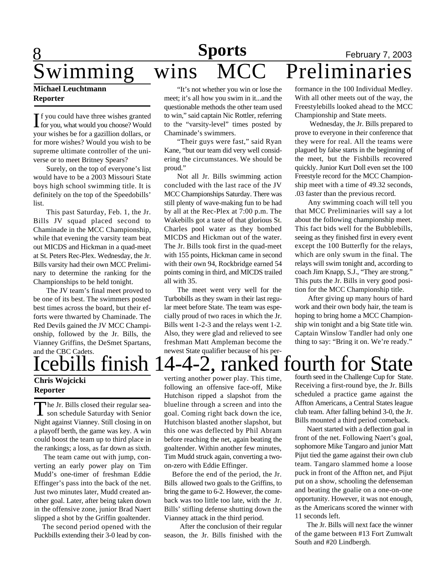# **8 News Sports** February 7, 2003 wimming wins MCC Preliminaries **Sports**

## **Michael Leuchtmann Reporter**

If you could have three wishes granted<br>for you, what would you choose? Would f you could have three wishes granted your wishes be for a gazillion dollars, or for more wishes? Would you wish to be supreme ultimate controller of the universe or to meet Britney Spears?

Surely, on the top of everyone's list would have to be a 2003 Missouri State boys high school swimming title. It is definitely on the top of the Speedobills' list.

This past Saturday, Feb. 1, the Jr. Bills JV squad placed second to Chaminade in the MCC Championship, while that evening the varsity team beat out MICDS and Hickman in a quad-meet at St. Peters Rec-Plex. Wednesday, the Jr. Bills varsity had their own MCC Preliminary to determine the ranking for the Championships to be held tonight.

The JV team's final meet proved to be one of its best. The swimmers posted best times across the board, but their efforts were thwarted by Chaminade. The Red Devils gained the JV MCC Championship, followed by the Jr. Bills, the Vianney Griffins, the DeSmet Spartans, and the CBC Cadets.

## **Chris Wojcicki Reporter**

The Jr. Bills closed their regular sea-<br>son schedule Saturday with Senior he Jr. Bills closed their regular sea-Night against Vianney. Still closing in on a playoff berth, the game was key. A win could boost the team up to third place in the rankings; a loss, as far down as sixth.

 The team came out with jump, converting an early power play on Tim Mudd's one-timer of freshman Eddie Effinger's pass into the back of the net. Just two minutes later, Mudd created another goal. Later, after being taken down in the offensive zone, junior Brad Naert slipped a shot by the Griffin goaltender.

 The second period opened with the Puckbills extending their 3-0 lead by con-

"It's not whether you win or lose the meet; it's all how you swim in it...and the questionable methods the other team used to win," said captain Nic Rottler, referring to the "varsity-level" times posted by Chaminade's swimmers.

"Their guys were fast," said Ryan Kane, "but our team did very well considering the circumstances. We should be proud."

Not all Jr. Bills swimming action concluded with the last race of the JV MCC Championships Saturday. There was still plenty of wave-making fun to be had by all at the Rec-Plex at 7:00 p.m. The Wakebills got a taste of that glorious St. Charles pool water as they bombed MICDS and Hickman out of the water. The Jr. Bills took first in the quad-meet with 155 points, Hickman came in second with their own 94, Rockbridge earned 54 points coming in third, and MICDS trailed all with 35.

The meet went very well for the Turbobills as they swam in their last regular meet before State. The team was especially proud of two races in which the Jr. Bills went 1-2-3 and the relays went 1-2. Also, they were glad and relieved to see freshman Matt Ampleman become the newest State qualifier because of his performance in the 100 Individual Medley. With all other meets out of the way, the Freestylebills looked ahead to the MCC Championship and State meets.

 Wednesday, the Jr. Bills prepared to prove to everyone in their conference that they were for real. All the teams were plagued by false starts in the beginning of the meet, but the Fishbills recovered quickly. Junior Kurt Doll even set the 100 Freestyle record for the MCC Championship meet with a time of 49.32 seconds, .03 faster than the previous record.

Any swimming coach will tell you that MCC Preliminaries will say a lot about the following championship meet. This fact bids well for the Bubblebills, seeing as they finished first in every event except the 100 Butterfly for the relays, which are only swum in the final. The relays will swim tonight and, according to coach Jim Knapp, S.J., "They are strong." This puts the Jr. Bills in very good position for the MCC Championship title.

After giving up many hours of hard work and their own body hair, the team is hoping to bring home a MCC Championship win tonight and a big State title win. Captain Winslow Tandler had only one thing to say: "Bring it on. We're ready."

# Icebills finish 14-4-2, ranked fourth for State

verting another power play. This time, following an offensive face-off, Mike Hutchison ripped a slapshot from the blueline through a screen and into the goal. Coming right back down the ice, Hutchison blasted another slapshot, but this one was deflected by Phil Abram before reaching the net, again beating the goaltender. Within another few minutes, Tim Mudd struck again, converting a twoon-zero with Eddie Effinger.

 Before the end of the period, the Jr. Bills allowed two goals to the Griffins, to bring the game to 6-2. However, the comeback was too little too late, with the Jr. Bills' stifling defense shutting down the Vianney attack in the third period.

 After the conclusion of their regular season, the Jr. Bills finished with the fourth seed in the Challenge Cup for State. Receiving a first-round bye, the Jr. Bills scheduled a practice game against the Affton Americans, a Central States league club team. After falling behind 3-0, the Jr. Bills mounted a third period comeback.

 Naert started with a deflection goal in front of the net. Following Naert's goal, sophomore Mike Tangaro and junior Matt Pijut tied the game against their own club team. Tangaro slammed home a loose puck in front of the Affton net, and Pijut put on a show, schooling the defenseman and beating the goalie on a one-on-one opportunity. However, it was not enough, as the Americans scored the winner with 11 seconds left.

 The Jr. Bills will next face the winner of the game between #13 Fort Zumwalt South and #20 Lindbergh.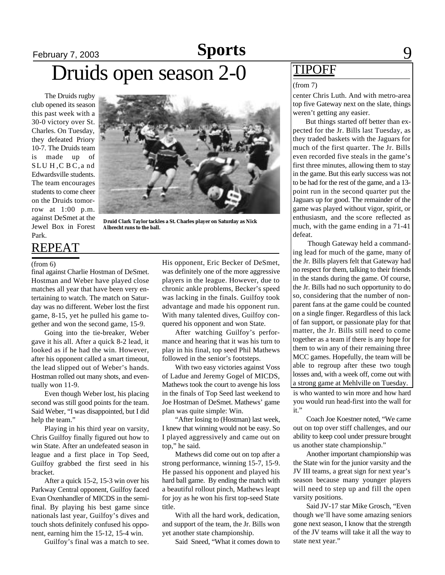# February 7, 2003 **Sports** 9 Druids open season 2-0  $\frac{\text{TIPOFF}}{\frac{\text{(from 7)}}{\text{(from 7)}}}$ **Sports**

The Druids rugby club opened its season this past week with a 30-0 victory over St. Charles. On Tuesday, they defeated Priory 10-7. The Druids team is made up of SLUH, CBC, and Edwardsville students. The team encourages students to come cheer on the Druids tomorrow at 1:00 p.m. against DeSmet at the Jewel Box in Forest Park.

**Druid Clark Taylor tackles a St. Charles player on Saturday as Nick Albrecht runs to the ball.**

REPEAT

final against Charlie Hostman of DeSmet. Hostman and Weber have played close matches all year that have been very entertaining to watch. The match on Saturday was no different. Weber lost the first game, 8-15, yet he pulled his game together and won the second game, 15-9.

Going into the tie-breaker, Weber gave it his all. After a quick 8-2 lead, it looked as if he had the win. However, after his opponent called a smart timeout, the lead slipped out of Weber's hands. Hostman rolled out many shots, and eventually won 11-9.

Even though Weber lost, his placing second was still good points for the team. Said Weber, "I was disappointed, but I did help the team."

Playing in his third year on varsity, Chris Guilfoy finally figured out how to win State. After an undefeated season in league and a first place in Top Seed, Guilfoy grabbed the first seed in his bracket.

After a quick 15-2, 15-3 win over his Parkway Central opponent, Guilfoy faced Evan Oxenhandler of MICDS in the semifinal. By playing his best game since nationals last year, Guilfoy's dives and touch shots definitely confused his opponent, earning him the 15-12, 15-4 win.

Guilfoy's final was a match to see.

(from 6) His opponent, Eric Becker of DeSmet, was definitely one of the more aggressive players in the league. However, due to chronic ankle problems, Becker's speed was lacking in the finals. Guilfoy took advantage and made his opponent run. With many talented dives, Guilfoy conquered his opponent and won State.

After watching Guilfoy's performance and hearing that it was his turn to play in his final, top seed Phil Mathews followed in the senior's footsteps.

With two easy victories against Voss of Ladue and Jeremy Gogel of MICDS, Mathews took the court to avenge his loss in the finals of Top Seed last weekend to Joe Hostman of DeSmet. Mathews' game plan was quite simple: Win.

"After losing to (Hostman) last week, I knew that winning would not be easy. So I played aggressively and came out on top," he said.

Mathews did come out on top after a strong performance, winning 15-7, 15-9. He passed his opponent and played his hard ball game. By ending the match with a beautiful rollout pinch, Mathews leapt for joy as he won his first top-seed State title.

With all the hard work, dedication, and support of the team, the Jr. Bills won yet another state championship.

Said Sneed, "What it comes down to

center Chris Luth. And with metro-area top five Gateway next on the slate, things weren't getting any easier.

 But things started off better than expected for the Jr. Bills last Tuesday, as they traded baskets with the Jaguars for much of the first quarter. The Jr. Bills even recorded five steals in the game's first three minutes, allowing them to stay in the game. But this early success was not to be had for the rest of the game, and a 13 point run in the second quarter put the Jaguars up for good. The remainder of the game was played without vigor, spirit, or enthusiasm, and the score reflected as much, with the game ending in a 71-41 defeat.

 Though Gateway held a commanding lead for much of the game, many of the Jr. Bills players felt that Gateway had no respect for them, talking to their friends in the stands during the game. Of course, the Jr. Bills had no such opportunity to do so, considering that the number of nonparent fans at the game could be counted on a single finger. Regardless of this lack of fan support, or passionate play for that matter, the Jr. Bills still need to come together as a team if there is any hope for them to win any of their remaining three MCC games. Hopefully, the team will be able to regroup after these two tough losses and, with a week off, come out with a strong game at Mehlville on Tuesday.

is who wanted to win more and how hard you would run head-first into the wall for it."

Coach Joe Koestner noted, "We came out on top over stiff challenges, and our ability to keep cool under pressure brought us another state championship."

Another important championship was the State win for the junior varsity and the JV III teams, a great sign for next year's season because many younger players will need to step up and fill the open varsity positions.

Said JV-17 star Mike Grosch, "Even though we'll have some amazing seniors gone next season, I know that the strength of the JV teams will take it all the way to state next year."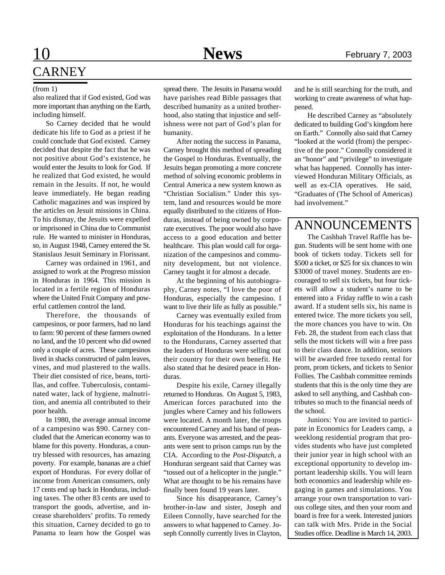# 10 **News** February 7, 2003 **CARNEY**

also realized that if God existed, God was more important than anything on the Earth, including himself.

So Carney decided that he would dedicate his life to God as a priest if he could conclude that God existed. Carney decided that despite the fact that he was not positive about God's existence, he would enter the Jesuits to look for God. If he realized that God existed, he would remain in the Jesuits. If not, he would leave immediately. He began reading Catholic magazines and was inspired by the articles on Jesuit missions in China. To his dismay, the Jesuits were expelled or imprisoned in China due to Communist rule. He wanted to minister in Honduras, so, in August 1948, Carney entered the St. Stanislaus Jesuit Seminary in Florissant.

Carney was ordained in 1961, and assigned to work at the Progreso mission in Honduras in 1964. This mission is located in a fertile region of Honduras where the United Fruit Company and powerful cattlemen control the land.

Therefore, the thousands of campesinos, or poor farmers, had no land to farm: 90 percent of these farmers owned no land, and the 10 percent who did owned only a couple of acres. These campesinos lived in shacks constructed of palm leaves, vines, and mud plastered to the walls. Their diet consisted of rice, beans, tortillas, and coffee. Tuberculosis, contaminated water, lack of hygiene, malnutrition, and anemia all contributed to their poor health.

In 1980, the average annual income of a campesino was \$90. Carney concluded that the American economy was to blame for this poverty. Honduras, a country blessed with resources, has amazing poverty. For example, bananas are a chief export of Honduras. For every dollar of income from American consumers, only 17 cents end up back in Honduras, including taxes. The other 83 cents are used to transport the goods, advertise, and increase shareholders' profits. To remedy this situation, Carney decided to go to Panama to learn how the Gospel was

(from 1) spread there. The Jesuits in Panama would and he is still searching for the truth, and have parishes read Bible passages that described humanity as a united brotherhood, also stating that injustice and selfishness were not part of God's plan for humanity.

> After noting the success in Panama, Carney brought this method of spreading the Gospel to Honduras. Eventually, the Jesuits began promoting a more concrete method of solving economic problems in Central America a new system known as "Christian Socialism." Under this system, land and resources would be more equally distributed to the citizens of Honduras, instead of being owned by corporate executives. The poor would also have access to a good education and better healthcare. This plan would call for organization of the campesinos and community development, but not violence. Carney taught it for almost a decade.

> At the beginning of his autobiography, Carney notes, "I love the poor of Honduras, especially the campesino. I want to live their life as fully as possible."

> Carney was eventually exiled from Honduras for his teachings against the exploitation of the Hondurans. In a letter to the Hondurans, Carney asserted that the leaders of Honduras were selling out their country for their own benefit. He also stated that he desired peace in Honduras.

> Despite his exile, Carney illegally returned to Honduras. On August 5, 1983, American forces parachuted into the jungles where Carney and his followers were located. A month later, the troops encountered Carney and his band of peasants. Everyone was arrested, and the peasants were sent to prison camps run by the CIA. According to the *Post-Dispatch*, a Honduran sergeant said that Carney was "tossed out of a helicopter in the jungle." What are thought to be his remains have finally been found 19 years later.

> Since his disappearance, Carney's brother-in-law and sister, Joseph and Eileen Connolly, have searched for the answers to what happened to Carney. Joseph Connolly currently lives in Clayton,

working to create awareness of what happened.

He described Carney as "absolutely dedicated to building God's kingdom here on Earth." Connolly also said that Carney "looked at the world (from) the perspective of the poor." Connolly considered it an "honor" and "privilege" to investigate what has happened. Connolly has interviewed Honduran Military Officials, as well as ex-CIA operatives. He said, "Graduates of (The School of Americas) had involvement."

# ANNOUNCEMENTS

The Cashbah Travel Raffle has begun. Students will be sent home with one book of tickets today. Tickets sell for \$500 a ticket, or \$25 for six chances to win \$3000 of travel money. Students are encouraged to sell six tickets, but four tickets will allow a student's name to be entered into a Friday raffle to win a cash award. If a student sells six, his name is entered twice. The more tickets you sell, the more chances you have to win. On Feb. 28, the student from each class that sells the most tickets will win a free pass to their class dance. In addition, seniors will be awarded free tuxedo rental for prom, prom tickets, and tickets to Senior Follies. The Cashbah committee reminds students that this is the only time they are asked to sell anything, and Cashbah contributes so much to the financial needs of the school.

Juniors: You are invited to participate in Economics for Leaders camp, a weeklong residential program that provides students who have just completed their junior year in high school with an exceptional opportunity to develop important leadership skills. You will learn both economics and leadership while engaging in games and simulations. You arrange your own transportation to various college sites, and then your room and board is free for a week. Interested juniors can talk with Mrs. Pride in the Social Studies office. Deadline is March 14, 2003.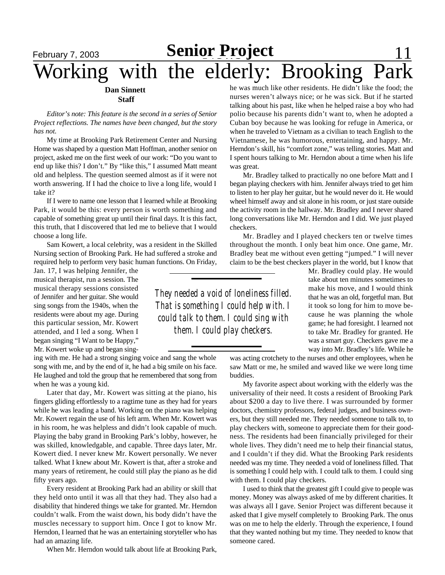# **February 7, 2003 Senior Project** 11 Working with the elderly: Brooking

### **Dan Sinnett Staff**

*Editor's note: This feature is the second in a series of Senior Project reflections. The names have been changed, but the story has not.*

My time at Brooking Park Retirement Center and Nursing Home was shaped by a question Matt Hoffman, another senior on project, asked me on the first week of our work: "Do you want to end up like this? I don't." By "like this," I assumed Matt meant old and helpless. The question seemed almost as if it were not worth answering. If I had the choice to live a long life, would I take it?

If I were to name one lesson that I learned while at Brooking Park, it would be this: every person is worth something and capable of something great up until their final days. It is this fact, this truth, that I discovered that led me to believe that I would choose a long life.

Sam Kowert, a local celebrity, was a resident in the Skilled Nursing section of Brooking Park. He had suffered a stroke and required help to perform very basic human functions. On Friday,

Jan. 17, I was helping Jennifer, the musical therapist, run a session. The musical therapy sessions consisted of Jennifer and her guitar. She would sing songs from the 1940s, when the residents were about my age. During this particular session, Mr. Kowert attended, and I led a song. When I began singing "I Want to be Happy," Mr. Kowert woke up and began sing-

ing with me. He had a strong singing voice and sang the whole song with me, and by the end of it, he had a big smile on his face. He laughed and told the group that he remembered that song from when he was a young kid.

Later that day, Mr. Kowert was sitting at the piano, his fingers gliding effortlessly to a ragtime tune as they had for years while he was leading a band. Working on the piano was helping Mr. Kowert regain the use of his left arm. When Mr. Kowert was in his room, he was helpless and didn't look capable of much. Playing the baby grand in Brooking Park's lobby, however, he was skilled, knowledgable, and capable. Three days later, Mr. Kowert died. I never knew Mr. Kowert personally. We never talked. What I knew about Mr. Kowert is that, after a stroke and many years of retirement, he could still play the piano as he did fifty years ago.

Every resident at Brooking Park had an ability or skill that they held onto until it was all that they had. They also had a disability that hindered things we take for granted. Mr. Herndon couldn't walk. From the waist down, his body didn't have the muscles necessary to support him. Once I got to know Mr. Herndon, I learned that he was an entertaining storyteller who has had an amazing life.

When Mr. Herndon would talk about life at Brooking Park,

he was much like other residents. He didn't like the food; the nurses weren't always nice; or he was sick. But if he started talking about his past, like when he helped raise a boy who had polio because his parents didn't want to, when he adopted a Cuban boy because he was looking for refuge in America, or when he traveled to Vietnam as a civilian to teach English to the Vietnamese, he was humorous, entertaining, and happy. Mr. Herndon's skill, his "comfort zone," was telling stories. Matt and I spent hours talking to Mr. Herndon about a time when his life was great.

Mr. Bradley talked to practically no one before Matt and I began playing checkers with him. Jennifer always tried to get him to listen to her play her guitar, but he would never do it. He would wheel himself away and sit alone in his room, or just stare outside the activity room in the hallway. Mr. Bradley and I never shared long conversations like Mr. Herndon and I did. We just played checkers.

Mr. Bradley and I played checkers ten or twelve times throughout the month. I only beat him once. One game, Mr. Bradley beat me without even getting "jumped." I will never claim to be the best checkers player in the world, but I know that

*They needed a void of loneliness filled. That is something I could help with. I could talk to them. I could sing with them. I could play checkers.*

Mr. Bradley could play. He would take about ten minutes sometimes to make his move, and I would think that he was an old, forgetful man. But it took so long for him to move because he was planning the whole game; he had foresight. I learned not to take Mr. Bradley for granted. He was a smart guy. Checkers gave me a way into Mr. Bradley's life. While he

was acting crotchety to the nurses and other employees, when he saw Matt or me, he smiled and waved like we were long time buddies.

My favorite aspect about working with the elderly was the universality of their need. It costs a resident of Brooking Park about \$200 a day to live there. I was surrounded by former doctors, chemistry professors, federal judges, and business owners, but they still needed me. They needed someone to talk to, to play checkers with, someone to appreciate them for their goodness. The residents had been financially privileged for their whole lives. They didn't need me to help their financial status, and I couldn't if they did. What the Brooking Park residents needed was my time. They needed a void of loneliness filled. That is something I could help with. I could talk to them. I could sing with them. I could play checkers.

I used to think that the greatest gift I could give to people was money. Money was always asked of me by different charities. It was always all I gave. Senior Project was different because it asked that I give myself completely to Brooking Park. The onus was on me to help the elderly. Through the experience, I found that they wanted nothing but my time. They needed to know that someone cared.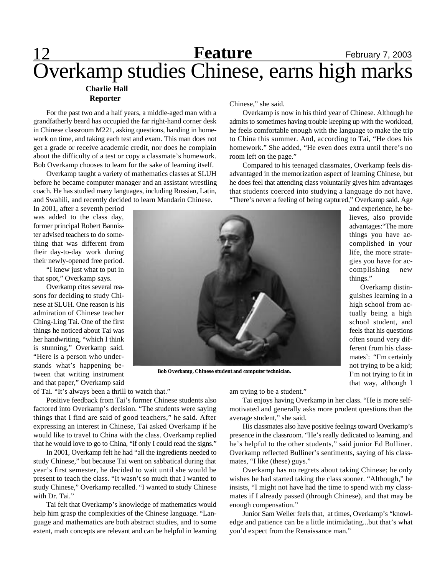## 12 **Feature** February 7, 2003 **Charlie Hall Reporter** Overkamp studies Chinese, earns high marks **Feature**

For the past two and a half years, a middle-aged man with a grandfatherly beard has occupied the far right-hand corner desk in Chinese classroom M221, asking questions, handing in homework on time, and taking each test and exam. This man does not get a grade or receive academic credit, nor does he complain about the difficulty of a test or copy a classmate's homework. Bob Overkamp chooses to learn for the sake of learning itself.

Overkamp taught a variety of mathematics classes at SLUH before he became computer manager and an assistant wrestling coach. He has studied many languages, including Russian, Latin, and Swahili, and recently decided to learn Mandarin Chinese.

Chinese," she said.

Overkamp is now in his third year of Chinese. Although he admits to sometimes having trouble keeping up with the workload, he feels comfortable enough with the language to make the trip to China this summer. And, according to Tai, "He does his homework." She added, "He even does extra until there's no room left on the page."

Compared to his teenaged classmates, Overkamp feels disadvantaged in the memorization aspect of learning Chinese, but he does feel that attending class voluntarily gives him advantages that students coerced into studying a language do not have. "There's never a feeling of being captured," Overkamp said. Age

> and experience, he believes, also provide advantages:"The more things you have accomplished in your life, the more strategies you have for accomplishing new

> Overkamp distinguishes learning in a high school from actually being a high school student, and feels that his questions often sound very different from his classmates': "I'm certainly not trying to be a kid; I'm not trying to fit in that way, although I

things."

In 2001, after a seventh period was added to the class day, former principal Robert Bannister advised teachers to do something that was different from their day-to-day work during their newly-opened free period.

"I knew just what to put in that spot," Overkamp says.

Overkamp cites several reasons for deciding to study Chinese at SLUH. One reason is his admiration of Chinese teacher Ching-Ling Tai. One of the first things he noticed about Tai was her handwriting, "which I think is stunning," Overkamp said. "Here is a person who understands what's happening between that writing instrument and that paper," Overkamp said



**Bob Overkamp, Chinese student and computer technician.**

of Tai. "It's always been a thrill to watch that."

Positive feedback from Tai's former Chinese students also factored into Overkamp's decision. "The students were saying things that I find are said of good teachers," he said. After expressing an interest in Chinese, Tai asked Overkamp if he would like to travel to China with the class. Overkamp replied that he would love to go to China, "if only I could read the signs."

In 2001, Overkamp felt he had "all the ingredients needed to study Chinese," but because Tai went on sabbatical during that year's first semester, he decided to wait until she would be present to teach the class. "It wasn't so much that I wanted to study Chinese," Overkamp recalled. "I wanted to study Chinese with Dr. Tai."

Tai felt that Overkamp's knowledge of mathematics would help him grasp the complexities of the Chinese language. "Language and mathematics are both abstract studies, and to some extent, math concepts are relevant and can be helpful in learning am trying to be a student."

Tai enjoys having Overkamp in her class. "He is more selfmotivated and generally asks more prudent questions than the average student," she said.

His classmates also have positive feelings toward Overkamp's presence in the classroom. "He's really dedicated to learning, and he's helpful to the other students," said junior Ed Bulliner. Overkamp reflected Bulliner's sentiments, saying of his classmates, "I like (these) guys."

Overkamp has no regrets about taking Chinese; he only wishes he had started taking the class sooner. "Although," he insists, "I might not have had the time to spend with my classmates if I already passed (through Chinese), and that may be enough compensation."

Junior Sam Weller feels that, at times, Overkamp's "knowledge and patience can be a little intimidating...but that's what you'd expect from the Renaissance man."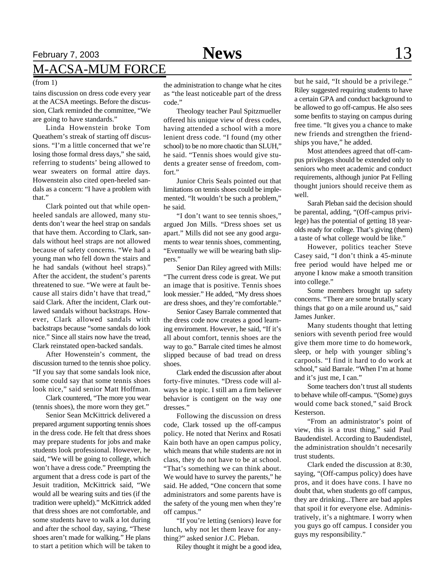# February 7, 2003 **News** 13 M-ACSA-MUM FORCE

tains discussion on dress code every year at the ACSA meetings. Before the discussion, Clark reminded the committee, "We are going to have standards."

Linda Howenstein broke Tom Queathem's streak of starting off discussions. "I'm a little concerned that we're losing those formal dress days," she said, referring to students' being allowed to wear sweaters on formal attire days. Howenstein also cited open-heeled sandals as a concern: "I have a problem with that"

Clark pointed out that while openheeled sandals are allowed, many students don't wear the heel strap on sandals that have them. According to Clark, sandals without heel straps are not allowed because of safety concerns. "We had a young man who fell down the stairs and he had sandals (without heel straps)." After the accident, the student's parents threatened to sue. "We were at fault because all stairs didn't have that tread," said Clark. After the incident, Clark outlawed sandals without backstraps. However, Clark allowed sandals with backstraps because "some sandals do look nice." Since all stairs now have the tread, Clark reinstated open-backed sandals.

After Howenstein's comment, the discussion turned to the tennis shoe policy. "If you say that some sandals look nice, some could say that some tennis shoes look nice," said senior Matt Hoffman.

Clark countered, "The more you wear (tennis shoes), the more worn they get."

Senior Sean McKittrick delivered a prepared argument supporting tennis shoes in the dress code. He felt that dress shoes may prepare students for jobs and make students look professional. However, he said, "We will be going to college, which won't have a dress code." Preempting the argument that a dress code is part of the Jesuit tradition, McKittrick said, "We would all be wearing suits and ties (if the tradition were upheld)." McKittrick added that dress shoes are not comfortable, and some students have to walk a lot during and after the school day, saying, "These shoes aren't made for walking." He plans to start a petition which will be taken to

(from 1) the administration to change what he cites as "the least noticeable part of the dress code."

> Theology teacher Paul Spitzmueller offered his unique view of dress codes, having attended a school with a more lenient dress code. "I found (my other school) to be no more chaotic than SLUH," he said. "Tennis shoes would give students a greater sense of freedom, comfort."

> Junior Chris Seals pointed out that limitations on tennis shoes could be implemented. "It wouldn't be such a problem," he said.

> "I don't want to see tennis shoes," argued Jon Mills. "Dress shoes set us apart." Mills did not see any good arguments to wear tennis shoes, commenting, "Eventually we will be wearing bath slippers."

> Senior Dan Riley agreed with Mills: "The current dress code is great. We put an image that is positive. Tennis shoes look messier." He added, "My dress shoes are dress shoes, and they're comfortable."

> Senior Casey Barrale commented that the dress code now creates a good learning enviroment. However, he said, "If it's all about comfort, tennis shoes are the way to go." Barrale cited times he almost slipped because of bad tread on dress shoes.

> Clark ended the discussion after about forty-five minutes. "Dress code will always be a topic. I still am a firm believer behavior is contigent on the way one dresses."

> Following the discussion on dress code, Clark tossed up the off-campus policy. He noted that Nerinx and Rosati Kain both have an open campus policy, which means that while students are not in class, they do not have to be at school. "That's something we can think about. We would have to survey the parents," he said. He added, "One concern that some administrators and some parents have is the safety of the young men when they're off campus."

> "If you're letting (seniors) leave for lunch, why not let them leave for anything?" asked senior J.C. Pleban.

Riley thought it might be a good idea,

but he said, "It should be a privilege." Riley suggested requiring students to have a certain GPA and conduct background to be allowed to go off-campus. He also sees some benfits to staying on campus during free time. "It gives you a chance to make new friends and strengthen the friendships you have," he added.

Most attendees agreed that off-campus privileges should be extended only to seniors who meet academic and conduct requirements, although junior Pat Felling thought juniors should receive them as well.

Sarah Pleban said the decision should be parental, adding, "(Off-campus privilege) has the potential of getting 18 yearolds ready for college. That's giving (them) a taste of what college would be like."

However, politics teacher Steve Casey said, "I don't think a 45-minute free period would have helped me or anyone I know make a smooth transition into college."

Some members brought up safety concerns. "There are some brutally scary things that go on a mile around us," said James Junker.

Many students thought that letting seniors with seventh period free would give them more time to do homework, sleep, or help with younger sibling's carpools. "I find it hard to do work at school," said Barrale. "When I'm at home and it's just me, I can."

Some teachers don't trust all students to behave while off-campus. "(Some) guys would come back stoned," said Brock Kesterson.

"From an administrator's point of view, this is a trust thing," said Paul Baudendistel. According to Baudendistel, the administration shouldn't necesarily trust students.

Clark ended the discussion at 8:30, saying, "(Off-campus policy) does have pros, and it does have cons. I have no doubt that, when students go off campus, they are drinking...There are bad apples that spoil it for everyone else. Administratively, it's a nightmare. I worry when you guys go off campus. I consider you guys my responsibility."